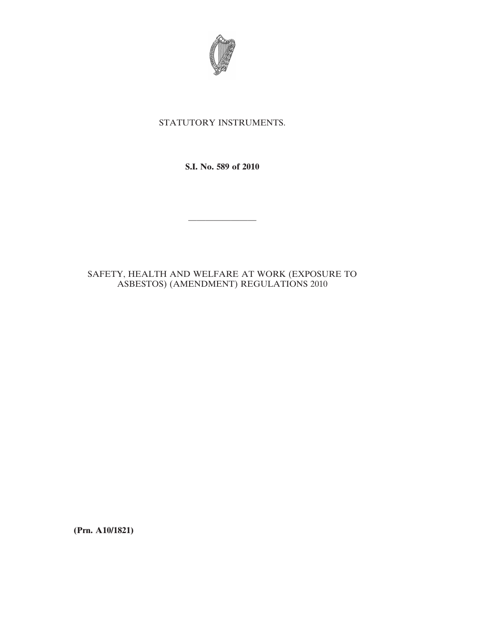

# STATUTORY INSTRUMENTS.

**S.I. No. 589 of 2010**

————————

# SAFETY, HEALTH AND WELFARE AT WORK (EXPOSURE TO ASBESTOS) (AMENDMENT) REGULATIONS 2010

**(Prn. A10/1821)**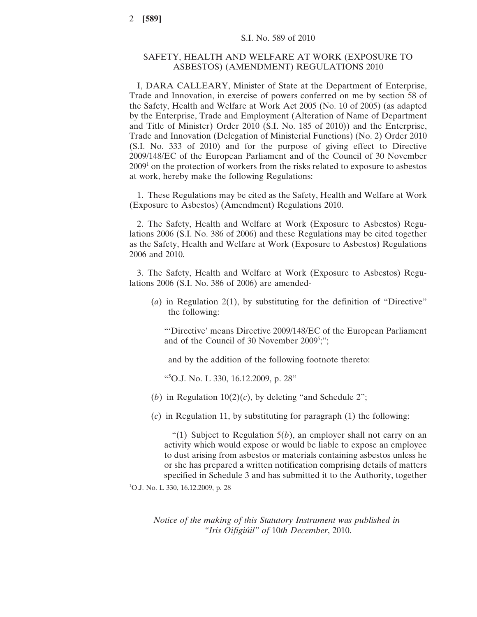### SAFETY, HEALTH AND WELFARE AT WORK (EXPOSURE TO ASBESTOS) (AMENDMENT) REGULATIONS 2010

I, DARA CALLEARY, Minister of State at the Department of Enterprise, Trade and Innovation, in exercise of powers conferred on me by section 58 of the Safety, Health and Welfare at Work Act 2005 (No. 10 of 2005) (as adapted by the Enterprise, Trade and Employment (Alteration of Name of Department and Title of Minister) Order 2010 (S.I. No. 185 of 2010)) and the Enterprise, Trade and Innovation (Delegation of Ministerial Functions) (No. 2) Order 2010 (S.I. No. 333 of 2010) and for the purpose of giving effect to Directive 2009/148/EC of the European Parliament and of the Council of 30 November  $2009<sup>1</sup>$  on the protection of workers from the risks related to exposure to asbestos at work, hereby make the following Regulations:

1. These Regulations may be cited as the Safety, Health and Welfare at Work (Exposure to Asbestos) (Amendment) Regulations 2010.

2. The Safety, Health and Welfare at Work (Exposure to Asbestos) Regulations 2006 (S.I. No. 386 of 2006) and these Regulations may be cited together as the Safety, Health and Welfare at Work (Exposure to Asbestos) Regulations 2006 and 2010.

3. The Safety, Health and Welfare at Work (Exposure to Asbestos) Regulations 2006 (S.I. No. 386 of 2006) are amended-

(*a*) in Regulation 2(1), by substituting for the definition of "Directive" the following:

"'Directive' means Directive 2009/148/EC of the European Parliament and of the Council of 30 November 2009<sup>5</sup>;";

and by the addition of the following footnote thereto:

"5 O.J. No. L 330, 16.12.2009, p. 28"

(*b*) in Regulation  $10(2)(c)$ , by deleting "and Schedule 2";

(*c*) in Regulation 11, by substituting for paragraph (1) the following:

"(1) Subject to Regulation  $5(b)$ , an employer shall not carry on an activity which would expose or would be liable to expose an employee to dust arising from asbestos or materials containing asbestos unless he or she has prepared a written notification comprising details of matters specified in Schedule 3 and has submitted it to the Authority, together

1 O.J. No. L 330, 16.12.2009, p. 28

*Notice of the making of this Statutory Instrument was published in "Iris Oifigiúil" of* 10*th December*, 2010.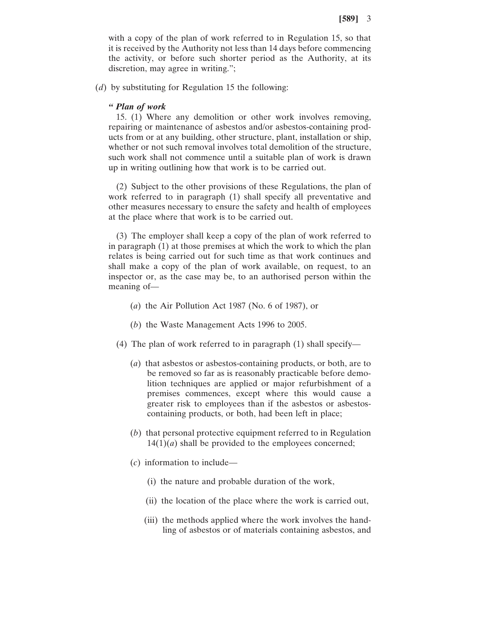with a copy of the plan of work referred to in Regulation 15, so that it is received by the Authority not less than 14 days before commencing the activity, or before such shorter period as the Authority, at its discretion, may agree in writing.";

(*d*) by substituting for Regulation 15 the following:

#### *" Plan of work*

15. (1) Where any demolition or other work involves removing, repairing or maintenance of asbestos and/or asbestos-containing products from or at any building, other structure, plant, installation or ship, whether or not such removal involves total demolition of the structure, such work shall not commence until a suitable plan of work is drawn up in writing outlining how that work is to be carried out.

(2) Subject to the other provisions of these Regulations, the plan of work referred to in paragraph (1) shall specify all preventative and other measures necessary to ensure the safety and health of employees at the place where that work is to be carried out.

(3) The employer shall keep a copy of the plan of work referred to in paragraph (1) at those premises at which the work to which the plan relates is being carried out for such time as that work continues and shall make a copy of the plan of work available, on request, to an inspector or, as the case may be, to an authorised person within the meaning of—

- (*a*) the Air Pollution Act 1987 (No. 6 of 1987), or
- (*b*) the Waste Management Acts 1996 to 2005.
- (4) The plan of work referred to in paragraph (1) shall specify—
	- (*a*) that asbestos or asbestos-containing products, or both, are to be removed so far as is reasonably practicable before demolition techniques are applied or major refurbishment of a premises commences, except where this would cause a greater risk to employees than if the asbestos or asbestoscontaining products, or both, had been left in place;
	- (*b*) that personal protective equipment referred to in Regulation  $14(1)(a)$  shall be provided to the employees concerned;
	- (*c*) information to include—
		- (i) the nature and probable duration of the work,
		- (ii) the location of the place where the work is carried out,
		- (iii) the methods applied where the work involves the handling of asbestos or of materials containing asbestos, and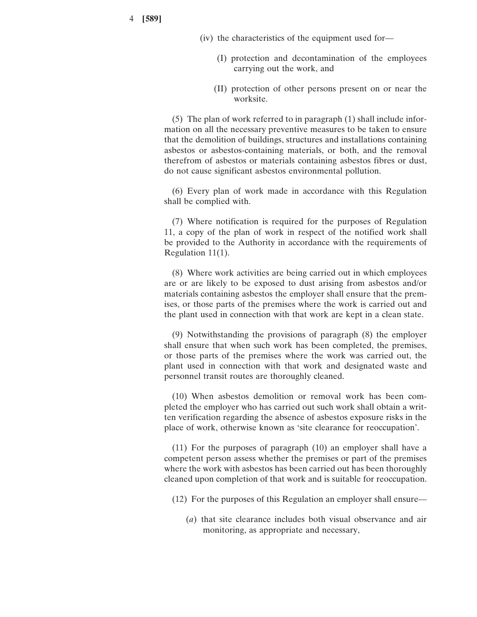4 **[589]**

- (iv) the characteristics of the equipment used for—
	- (I) protection and decontamination of the employees carrying out the work, and
	- (II) protection of other persons present on or near the worksite.

(5) The plan of work referred to in paragraph (1) shall include information on all the necessary preventive measures to be taken to ensure that the demolition of buildings, structures and installations containing asbestos or asbestos-containing materials, or both, and the removal therefrom of asbestos or materials containing asbestos fibres or dust, do not cause significant asbestos environmental pollution.

(6) Every plan of work made in accordance with this Regulation shall be complied with.

(7) Where notification is required for the purposes of Regulation 11, a copy of the plan of work in respect of the notified work shall be provided to the Authority in accordance with the requirements of Regulation 11(1).

(8) Where work activities are being carried out in which employees are or are likely to be exposed to dust arising from asbestos and/or materials containing asbestos the employer shall ensure that the premises, or those parts of the premises where the work is carried out and the plant used in connection with that work are kept in a clean state.

(9) Notwithstanding the provisions of paragraph (8) the employer shall ensure that when such work has been completed, the premises, or those parts of the premises where the work was carried out, the plant used in connection with that work and designated waste and personnel transit routes are thoroughly cleaned.

(10) When asbestos demolition or removal work has been completed the employer who has carried out such work shall obtain a written verification regarding the absence of asbestos exposure risks in the place of work, otherwise known as 'site clearance for reoccupation'.

(11) For the purposes of paragraph (10) an employer shall have a competent person assess whether the premises or part of the premises where the work with asbestos has been carried out has been thoroughly cleaned upon completion of that work and is suitable for reoccupation.

(12) For the purposes of this Regulation an employer shall ensure—

(*a*) that site clearance includes both visual observance and air monitoring, as appropriate and necessary,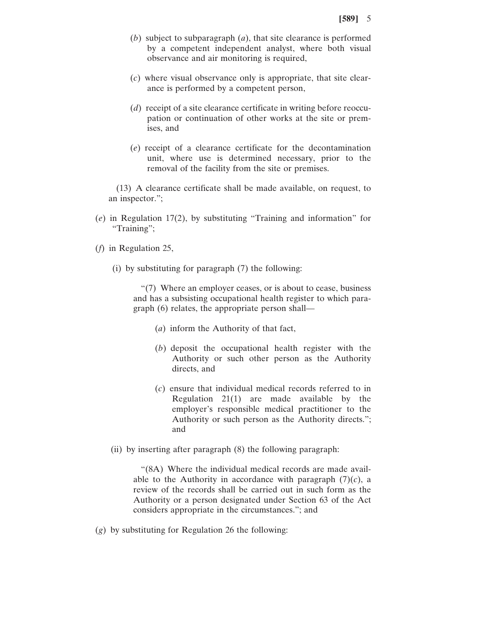- (*b*) subject to subparagraph (*a*), that site clearance is performed by a competent independent analyst, where both visual observance and air monitoring is required,
- (*c*) where visual observance only is appropriate, that site clearance is performed by a competent person,
- (*d*) receipt of a site clearance certificate in writing before reoccupation or continuation of other works at the site or premises, and
- (*e*) receipt of a clearance certificate for the decontamination unit, where use is determined necessary, prior to the removal of the facility from the site or premises.

(13) A clearance certificate shall be made available, on request, to an inspector.";

- (*e*) in Regulation 17(2), by substituting "Training and information" for "Training";
- (*f*) in Regulation 25,
	- (i) by substituting for paragraph (7) the following:

"(7) Where an employer ceases, or is about to cease, business and has a subsisting occupational health register to which paragraph (6) relates, the appropriate person shall—

- (*a*) inform the Authority of that fact,
- (*b*) deposit the occupational health register with the Authority or such other person as the Authority directs, and
- (*c*) ensure that individual medical records referred to in Regulation 21(1) are made available by the employer's responsible medical practitioner to the Authority or such person as the Authority directs."; and
- (ii) by inserting after paragraph (8) the following paragraph:

"(8A) Where the individual medical records are made available to the Authority in accordance with paragraph  $(7)(c)$ , a review of the records shall be carried out in such form as the Authority or a person designated under Section 63 of the Act considers appropriate in the circumstances."; and

(*g*) by substituting for Regulation 26 the following: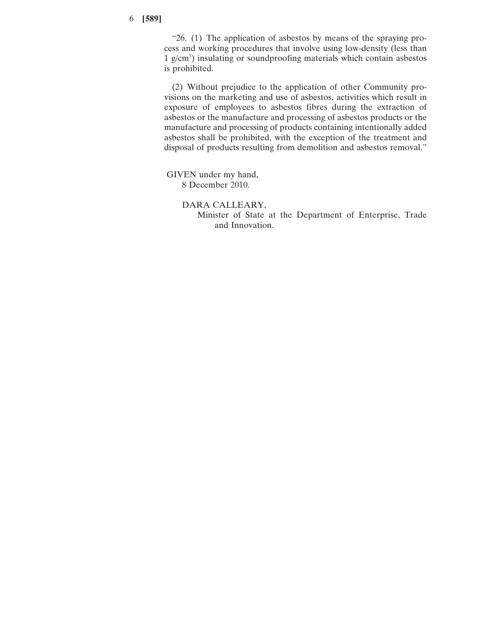## 6 **[589]**

"26. (1) The application of asbestos by means of the spraying process and working procedures that involve using low-density (less than 1 g/cm3 ) insulating or soundproofing materials which contain asbestos is prohibited.

(2) Without prejudice to the application of other Community provisions on the marketing and use of asbestos, activities which result in exposure of employees to asbestos fibres during the extraction of asbestos or the manufacture and processing of asbestos products or the manufacture and processing of products containing intentionally added asbestos shall be prohibited, with the exception of the treatment and disposal of products resulting from demolition and asbestos removal."

GIVEN under my hand, 8 December 2010.

> DARA CALLEARY, Minister of State at the Department of Enterprise, Trade and Innovation.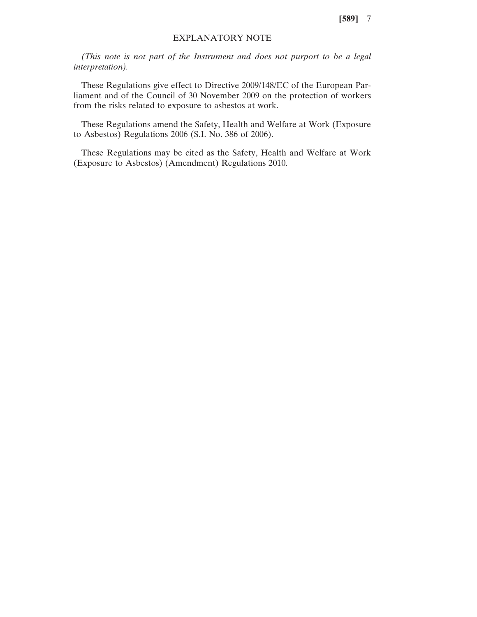**[589]** 7

### EXPLANATORY NOTE

*(This note is not part of the Instrument and does not purport to be a legal interpretation).*

These Regulations give effect to Directive 2009/148/EC of the European Parliament and of the Council of 30 November 2009 on the protection of workers from the risks related to exposure to asbestos at work.

These Regulations amend the Safety, Health and Welfare at Work (Exposure to Asbestos) Regulations 2006 (S.I. No. 386 of 2006).

These Regulations may be cited as the Safety, Health and Welfare at Work (Exposure to Asbestos) (Amendment) Regulations 2010.